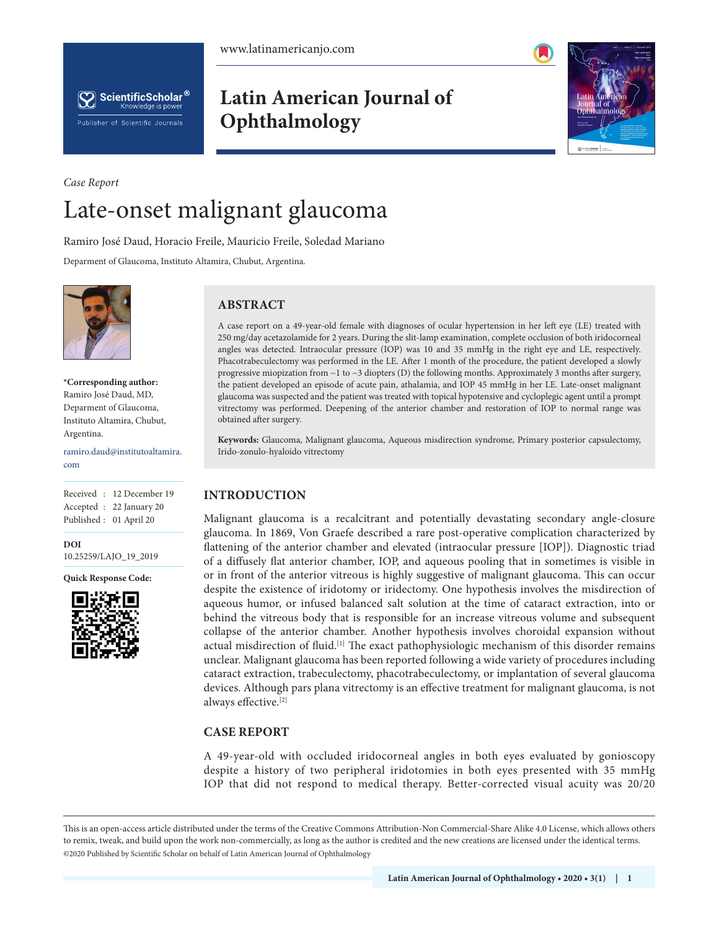



**Latin American Journal of Ophthalmology**



# *Case Report* Late-onset malignant glaucoma

Ramiro José Daud, Horacio Freile, Mauricio Freile, Soledad Mariano

Deparment of Glaucoma, Instituto Altamira, Chubut, Argentina.



**\*Corresponding author:**  Ramiro José Daud, MD, Deparment of Glaucoma, Instituto Altamira, Chubut, Argentina.

ramiro.daud@institutoaltamira. com

Received : 12 December 19 Accepted : 22 January 20 Published : 01 April 20

**DOI** 10.25259/LAJO\_19\_2019

**Quick Response Code:**



## **ABSTRACT**

A case report on a 49-year-old female with diagnoses of ocular hypertension in her left eye (LE) treated with 250 mg/day acetazolamide for 2 years. During the slit-lamp examination, complete occlusion of both iridocorneal angles was detected. Intraocular pressure (IOP) was 10 and 35 mmHg in the right eye and LE, respectively. Phacotrabeculectomy was performed in the LE. After 1 month of the procedure, the patient developed a slowly progressive miopization from −1 to −3 diopters (D) the following months. Approximately 3 months after surgery, the patient developed an episode of acute pain, athalamia, and IOP 45 mmHg in her LE. Late-onset malignant glaucoma was suspected and the patient was treated with topical hypotensive and cycloplegic agent until a prompt vitrectomy was performed. Deepening of the anterior chamber and restoration of IOP to normal range was obtained after surgery.

**Keywords:** Glaucoma, Malignant glaucoma, Aqueous misdirection syndrome, Primary posterior capsulectomy, Irido-zonulo-hyaloido vitrectomy

#### **INTRODUCTION**

Malignant glaucoma is a recalcitrant and potentially devastating secondary angle-closure glaucoma. In 1869, Von Graefe described a rare post-operative complication characterized by flattening of the anterior chamber and elevated (intraocular pressure [IOP]). Diagnostic triad of a diffusely flat anterior chamber, IOP, and aqueous pooling that in sometimes is visible in or in front of the anterior vitreous is highly suggestive of malignant glaucoma. This can occur despite the existence of iridotomy or iridectomy. One hypothesis involves the misdirection of aqueous humor, or infused balanced salt solution at the time of cataract extraction, into or behind the vitreous body that is responsible for an increase vitreous volume and subsequent collapse of the anterior chamber. Another hypothesis involves choroidal expansion without actual misdirection of fluid.<sup>[1]</sup> The exact pathophysiologic mechanism of this disorder remains unclear. Malignant glaucoma has been reported following a wide variety of procedures including cataract extraction, trabeculectomy, phacotrabeculectomy, or implantation of several glaucoma devices. Although pars plana vitrectomy is an effective treatment for malignant glaucoma, is not always effective.[2]

## **CASE REPORT**

A 49-year-old with occluded iridocorneal angles in both eyes evaluated by gonioscopy despite a history of two peripheral iridotomies in both eyes presented with 35 mmHg IOP that did not respond to medical therapy. Better-corrected visual acuity was 20/20

This is an open-access article distributed under the terms of the Creative Commons Attribution-Non Commercial-Share Alike 4.0 License, which allows others to remix, tweak, and build upon the work non-commercially, as long as the author is credited and the new creations are licensed under the identical terms. ©2020 Published by Scientific Scholar on behalf of Latin American Journal of Ophthalmology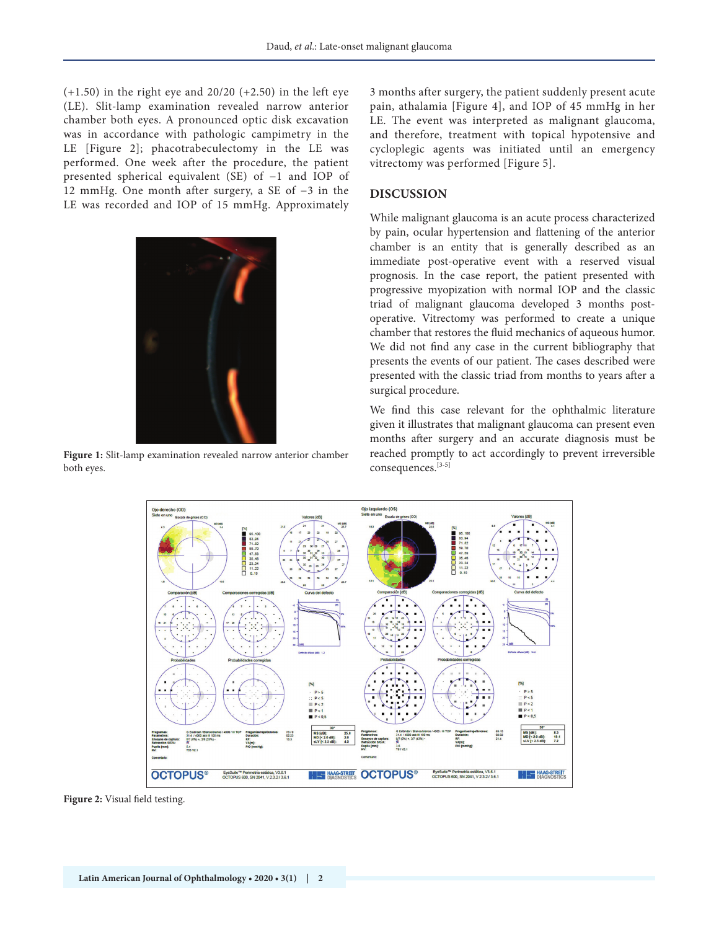$(+1.50)$  in the right eye and 20/20  $(+2.50)$  in the left eye (LE). Slit-lamp examination revealed narrow anterior chamber both eyes. A pronounced optic disk excavation was in accordance with pathologic campimetry in the LE [Figure 2]; phacotrabeculectomy in the LE was performed. One week after the procedure, the patient presented spherical equivalent (SE) of −1 and IOP of 12 mmHg. One month after surgery, a SE of −3 in the LE was recorded and IOP of 15 mmHg. Approximately



**Figure 1:** Slit-lamp examination revealed narrow anterior chamber both eyes.

3 months after surgery, the patient suddenly present acute pain, athalamia [Figure 4], and IOP of 45 mmHg in her LE. The event was interpreted as malignant glaucoma, and therefore, treatment with topical hypotensive and cycloplegic agents was initiated until an emergency vitrectomy was performed [Figure 5].

### **DISCUSSION**

While malignant glaucoma is an acute process characterized by pain, ocular hypertension and flattening of the anterior chamber is an entity that is generally described as an immediate post-operative event with a reserved visual prognosis. In the case report, the patient presented with progressive myopization with normal IOP and the classic triad of malignant glaucoma developed 3 months postoperative. Vitrectomy was performed to create a unique chamber that restores the fluid mechanics of aqueous humor. We did not find any case in the current bibliography that presents the events of our patient. The cases described were presented with the classic triad from months to years after a surgical procedure.

We find this case relevant for the ophthalmic literature given it illustrates that malignant glaucoma can present even months after surgery and an accurate diagnosis must be reached promptly to act accordingly to prevent irreversible consequences.[3-5]



**Figure 2:** Visual field testing.